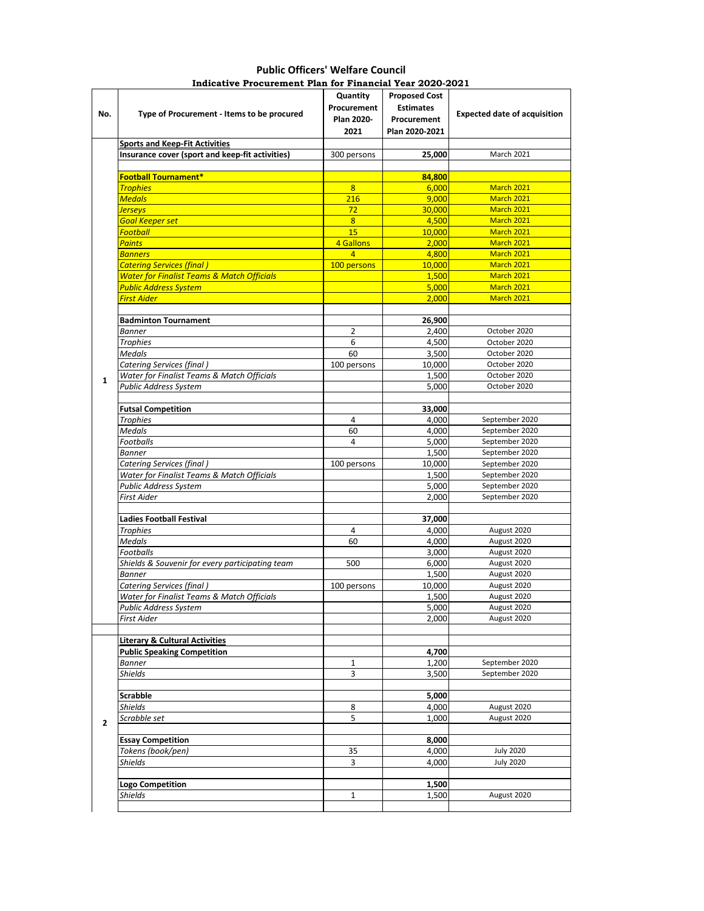## **Public Officers' Welfare Council Indicative Procurement Plan for Financial Year 2020-2021**

| No.          | Type of Procurement - Items to be procured            | Quantity<br>Procurement<br>Plan 2020-<br>2021 | <b>Proposed Cost</b><br><b>Estimates</b><br>Procurement<br>Plan 2020-2021 | <b>Expected date of acquisition</b> |
|--------------|-------------------------------------------------------|-----------------------------------------------|---------------------------------------------------------------------------|-------------------------------------|
|              | <b>Sports and Keep-Fit Activities</b>                 |                                               |                                                                           |                                     |
|              | Insurance cover (sport and keep-fit activities)       | 300 persons                                   | 25,000                                                                    | March 2021                          |
|              |                                                       |                                               |                                                                           |                                     |
|              | <b>Football Tournament*</b>                           |                                               | 84,800                                                                    |                                     |
|              | <b>Trophies</b>                                       | 8                                             | 6,000                                                                     | March 2021                          |
|              | <mark>Medals</mark>                                   | 216                                           | 9,000                                                                     | March 2021                          |
|              | <u>Ierseys</u>                                        | 72                                            | 30.000                                                                    | March 2021                          |
|              | <b>Goal Keeper set</b>                                | 8                                             | 4,500                                                                     | March 2021                          |
|              | <mark>Football</mark>                                 | 15                                            | 10,000                                                                    | March 2021                          |
|              | <b>Paints</b>                                         | 4 Gallons                                     | 2,000                                                                     | March 2021                          |
|              | <b>Banners</b>                                        | $\overline{4}$                                | 4,800                                                                     | March 2021                          |
|              | <mark>Catering Services (final )</mark>               | 100 persons                                   | 10,000                                                                    | March 2021                          |
|              | <b>Water for Finalist Teams &amp; Match Officials</b> |                                               | 1,500                                                                     | March 2021                          |
|              | Public Address System                                 |                                               | 5,000                                                                     | March 2021                          |
|              | <b>First Aider</b>                                    |                                               | 2,000                                                                     | March 2021                          |
|              |                                                       |                                               |                                                                           |                                     |
|              | <b>Badminton Tournament</b>                           |                                               | 26,900                                                                    |                                     |
|              | <b>Banner</b>                                         | 2                                             | 2,400                                                                     | October 2020                        |
|              | <b>Trophies</b>                                       | 6                                             | 4,500                                                                     | October 2020                        |
|              | <b>Medals</b>                                         | 60                                            | 3,500                                                                     | October 2020                        |
|              | <b>Catering Services (final)</b>                      | 100 persons                                   | 10,000                                                                    | October 2020                        |
| $\mathbf{1}$ | Water for Finalist Teams & Match Officials            |                                               | 1,500                                                                     | October 2020                        |
|              | <b>Public Address System</b>                          |                                               | 5,000                                                                     | October 2020                        |
|              |                                                       |                                               |                                                                           |                                     |
|              | <b>Futsal Competition</b>                             |                                               | 33,000                                                                    |                                     |
|              | <b>Trophies</b>                                       | 4                                             | 4,000                                                                     | September 2020                      |
|              | <b>Medals</b>                                         | 60                                            | 4,000                                                                     | September 2020                      |
|              | <b>Footballs</b>                                      | 4                                             | 5,000                                                                     | September 2020                      |
|              | <b>Banner</b>                                         |                                               | 1,500                                                                     | September 2020                      |
|              | Catering Services (final)                             | 100 persons                                   | 10,000                                                                    | September 2020                      |
|              | Water for Finalist Teams & Match Officials            |                                               | 1,500                                                                     | September 2020                      |
|              | Public Address System                                 |                                               | 5,000                                                                     | September 2020                      |
|              | First Aider                                           |                                               | 2,000                                                                     | September 2020                      |
|              |                                                       |                                               |                                                                           |                                     |
|              | <b>Ladies Football Festival</b>                       |                                               | 37,000                                                                    |                                     |
|              | <b>Trophies</b>                                       | 4                                             | 4,000                                                                     | August 2020                         |
|              | <b>Medals</b>                                         | 60                                            | 4,000                                                                     | August 2020                         |
|              | Footballs                                             |                                               | 3,000                                                                     | August 2020                         |
|              | Shields & Souvenir for every participating team       | 500                                           | 6,000                                                                     | August 2020                         |
|              | <b>Banner</b>                                         |                                               | 1,500                                                                     | August 2020                         |
|              | Catering Services (final)                             | 100 persons                                   | 10,000                                                                    | August 2020                         |
|              | Water for Finalist Teams & Match Officials            |                                               | 1,500                                                                     | August 2020                         |
|              | Public Address System                                 |                                               | 5,000                                                                     | August 2020                         |
|              | First Aider                                           |                                               | 2,000                                                                     | August 2020                         |
|              |                                                       |                                               |                                                                           |                                     |
|              | <b>Literary &amp; Cultural Activities</b>             |                                               |                                                                           |                                     |
|              | <b>Public Speaking Competition</b>                    |                                               | 4,700                                                                     |                                     |
|              | <b>Banner</b>                                         | 1                                             | 1,200                                                                     | September 2020                      |
|              | Shields                                               | 3                                             | 3,500                                                                     | September 2020                      |
|              |                                                       |                                               |                                                                           |                                     |
|              | <b>Scrabble</b>                                       |                                               | 5,000                                                                     |                                     |
|              | <b>Shields</b>                                        | 8                                             | 4,000                                                                     | August 2020                         |
| $\mathbf{2}$ | Scrabble set                                          | 5                                             | 1,000                                                                     | August 2020                         |
|              |                                                       |                                               |                                                                           |                                     |
|              | <b>Essay Competition</b>                              |                                               | 8,000                                                                     |                                     |
|              | Tokens (book/pen)                                     | 35                                            | 4,000                                                                     | <b>July 2020</b>                    |
|              | <b>Shields</b>                                        | 3                                             | 4,000                                                                     | <b>July 2020</b>                    |
|              |                                                       |                                               |                                                                           |                                     |
|              | Logo Competition                                      |                                               | 1,500                                                                     |                                     |
|              | Shields                                               | $\mathbf{1}$                                  | 1,500                                                                     | August 2020                         |
|              |                                                       |                                               |                                                                           |                                     |